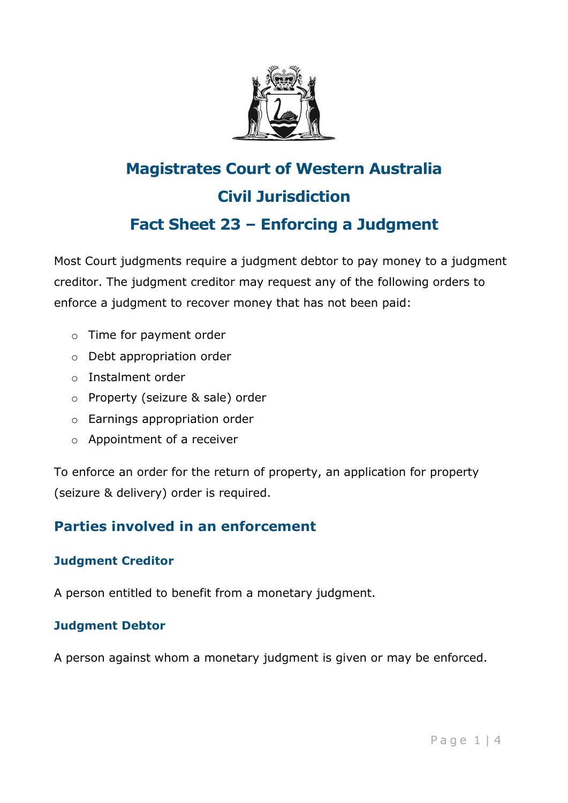

# **Magistrates Court of Western Australia Civil Jurisdiction Fact Sheet 23 – Enforcing a Judgment**

Most Court judgments require a judgment debtor to pay money to a judgment creditor. The judgment creditor may request any of the following orders to enforce a judgment to recover money that has not been paid:

- o Time for payment order
- o Debt appropriation order
- o Instalment order
- o Property (seizure & sale) order
- o Earnings appropriation order
- o Appointment of a receiver

To enforce an order for the return of property, an application for property (seizure & delivery) order is required.

# **Parties involved in an enforcement**

### **Judgment Creditor**

A person entitled to benefit from a monetary judgment.

### **Judgment Debtor**

A person against whom a monetary judgment is given or may be enforced.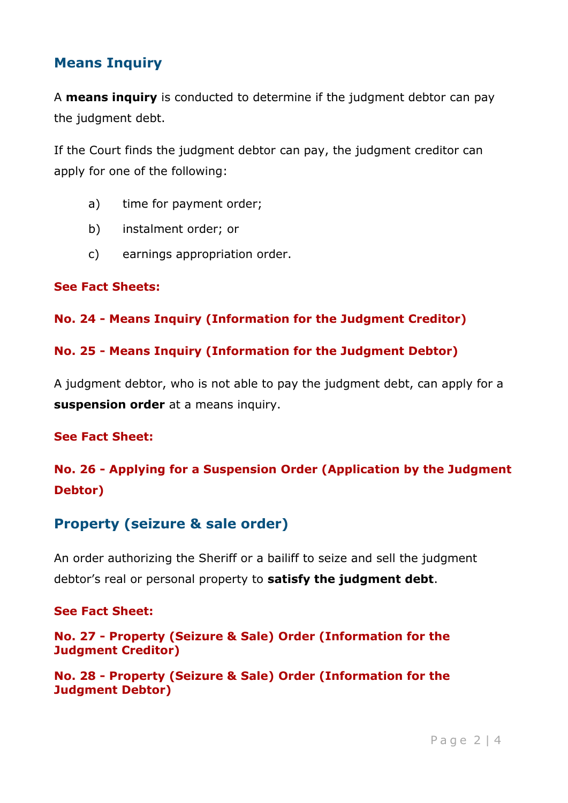# **Means Inquiry**

A **means inquiry** is conducted to determine if the judgment debtor can pay the judgment debt.

If the Court finds the judgment debtor can pay, the judgment creditor can apply for one of the following:

- a) time for payment order;
- b) instalment order; or
- c) earnings appropriation order.

#### **See Fact Sheets:**

#### **No. 24 - Means Inquiry (Information for the Judgment Creditor)**

#### **No. 25 - Means Inquiry (Information for the Judgment Debtor)**

A judgment debtor, who is not able to pay the judgment debt, can apply for a **suspension order** at a means inquiry.

#### **See Fact Sheet:**

# **No. 26 - Applying for a Suspension Order (Application by the Judgment Debtor)**

## **Property (seizure & sale order)**

An order authorizing the Sheriff or a bailiff to seize and sell the judgment debtor's real or personal property to **satisfy the judgment debt**.

#### **See Fact Sheet:**

**No. 27 - Property (Seizure & Sale) Order (Information for the Judgment Creditor)**

**No. 28 - Property (Seizure & Sale) Order (Information for the Judgment Debtor)**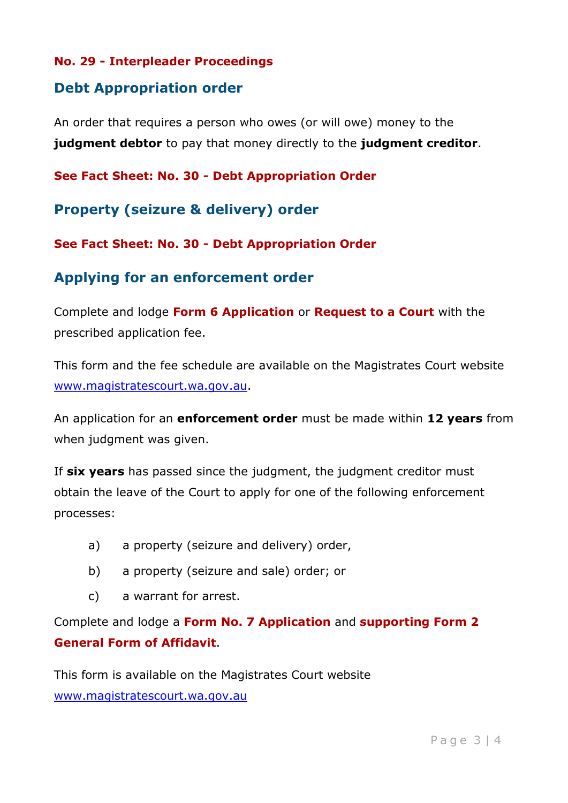#### **No. 29 - Interpleader Proceedings**

### **Debt Appropriation order**

An order that requires a person who owes (or will owe) money to the **judgment debtor** to pay that money directly to the **judgment creditor**.

**See Fact Sheet: No. 30 - Debt Appropriation Order**

**Property (seizure & delivery) order**

**See Fact Sheet: No. 30 - Debt Appropriation Order**

### **Applying for an enforcement order**

Complete and lodge **Form 6 Application** or **Request to a Court** with the prescribed application fee.

This form and the fee schedule are available on the Magistrates Court website [www.magistratescourt.wa.gov.au.](http://www.magistratescourt.wa.gov.au/)

An application for an **enforcement order** must be made within **12 years** from when judgment was given.

If **six years** has passed since the judgment, the judgment creditor must obtain the leave of the Court to apply for one of the following enforcement processes:

- a) a property (seizure and delivery) order,
- b) a property (seizure and sale) order; or
- c) a warrant for arrest.

Complete and lodge a **Form No. 7 Application** and **supporting Form 2 General Form of Affidavit**.

This form is available on the Magistrates Court website [www.magistratescourt.wa.gov.au](http://www.magistratescourt.wa.gov.au/)